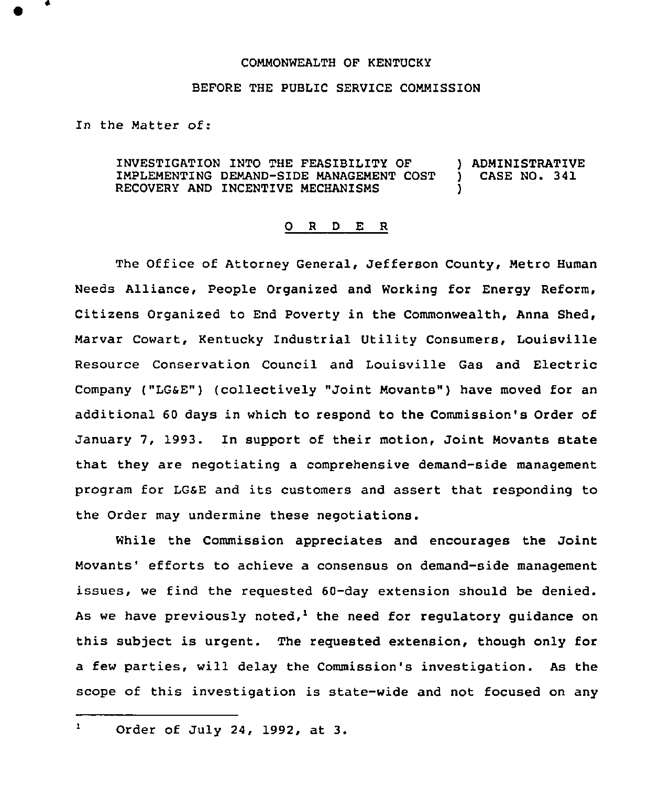## COMMONWEALTH OF KENTUCKY

## BEFORE THE PUBLIC SERVICE COMMISSION

In the Matter of:

INVESTIGATION INTO THE FEASIBILITY OF IMPLEMENTING DEMAND-SIDE MANAGEMENT COST RECOVERY AND INCENTIVE MECHANISMS ) ADMINISTRATIVE<br>
) CASE NO. 341 CASE NO. 341 )

## 0 <sup>R</sup> <sup>D</sup> E R

The Office of Attorney General, Jefferson County, Metro Human Needs Alliance, People Organized and Working for Energy Reform, Citizens Organized to End Poverty in the Commonwealth, Anna Shed, Marvar Cowart, Kentucky Industrial Utility Consumers, Louisville Resource Conservation Council and Louisville Gas and Electric Company ("LGSE") (collectively "Joint Movants") have moved for an additional 60 days in which to respond to the Commission's Order of January 7, 1993. In support of their motion, Joint Movants state that they are negotiating a comprehensive demand-side management program for LGSE and its customers and assert that responding to the Order may undermine these negotiations.

While the Commission appreciates and encourages the Joint Movants' efforts to achieve a consensus on demand-side management issues, we find the reguested 60-day extension should be denied. As we have previously noted,<sup>1</sup> the need for regulatory guidance on this subject is urgent. The reguested extension, though only for a few parties, will delay the Commission's investigation. As the scope of this investigation is state-wide and not focused on any

 $\mathbf{r}$ Order of July 24, 1992, at 3.